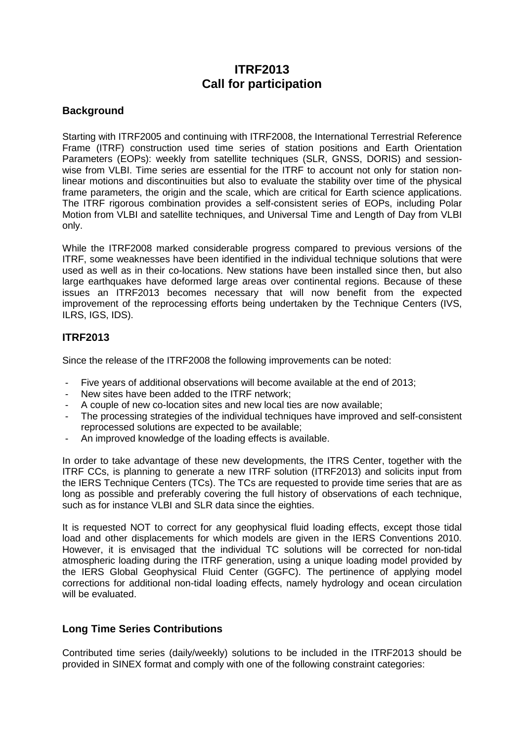# **ITRF2013 Call for participation**

### **Background**

Starting with ITRF2005 and continuing with ITRF2008, the International Terrestrial Reference Frame (ITRF) construction used time series of station positions and Earth Orientation Parameters (EOPs): weekly from satellite techniques (SLR, GNSS, DORIS) and sessionwise from VLBI. Time series are essential for the ITRF to account not only for station nonlinear motions and discontinuities but also to evaluate the stability over time of the physical frame parameters, the origin and the scale, which are critical for Earth science applications. The ITRF rigorous combination provides a self-consistent series of EOPs, including Polar Motion from VLBI and satellite techniques, and Universal Time and Length of Day from VLBI only.

While the ITRF2008 marked considerable progress compared to previous versions of the ITRF, some weaknesses have been identified in the individual technique solutions that were used as well as in their co-locations. New stations have been installed since then, but also large earthquakes have deformed large areas over continental regions. Because of these issues an ITRF2013 becomes necessary that will now benefit from the expected improvement of the reprocessing efforts being undertaken by the Technique Centers (IVS, ILRS, IGS, IDS).

### **ITRF2013**

Since the release of the ITRF2008 the following improvements can be noted:

- Five years of additional observations will become available at the end of 2013;
- New sites have been added to the ITRF network:
- A couple of new co-location sites and new local ties are now available:
- The processing strategies of the individual techniques have improved and self-consistent reprocessed solutions are expected to be available;
- An improved knowledge of the loading effects is available.

In order to take advantage of these new developments, the ITRS Center, together with the ITRF CCs, is planning to generate a new ITRF solution (ITRF2013) and solicits input from the IERS Technique Centers (TCs). The TCs are requested to provide time series that are as long as possible and preferably covering the full history of observations of each technique, such as for instance VLBI and SLR data since the eighties.

It is requested NOT to correct for any geophysical fluid loading effects, except those tidal load and other displacements for which models are given in the IERS Conventions 2010. However, it is envisaged that the individual TC solutions will be corrected for non-tidal atmospheric loading during the ITRF generation, using a unique loading model provided by the IERS Global Geophysical Fluid Center (GGFC). The pertinence of applying model corrections for additional non-tidal loading effects, namely hydrology and ocean circulation will be evaluated.

### **Long Time Series Contributions**

Contributed time series (daily/weekly) solutions to be included in the ITRF2013 should be provided in SINEX format and comply with one of the following constraint categories: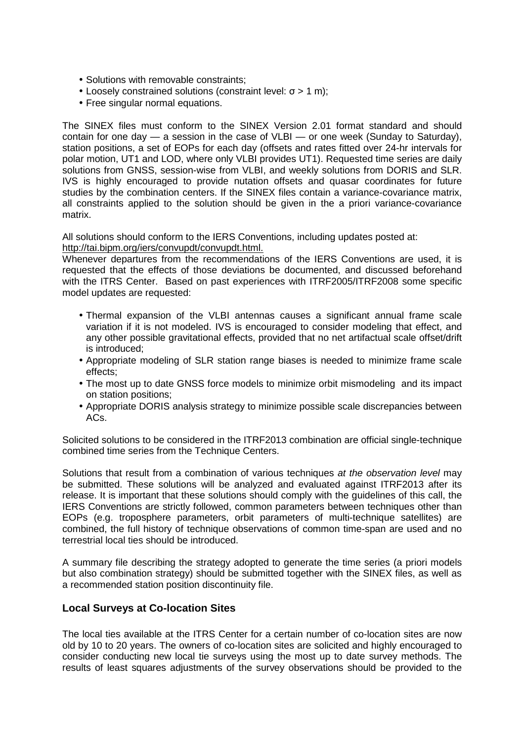- Solutions with removable constraints;
- Loosely constrained solutions (constraint level:  $σ > 1$  m);
- Free singular normal equations.

The SINEX files must conform to the SINEX Version 2.01 format standard and should contain for one day — a session in the case of VLBI — or one week (Sunday to Saturday), station positions, a set of EOPs for each day (offsets and rates fitted over 24-hr intervals for polar motion, UT1 and LOD, where only VLBI provides UT1). Requested time series are daily solutions from GNSS, session-wise from VLBI, and weekly solutions from DORIS and SLR. IVS is highly encouraged to provide nutation offsets and quasar coordinates for future studies by the combination centers. If the SINEX files contain a variance-covariance matrix, all constraints applied to the solution should be given in the a priori variance-covariance matrix.

All solutions should conform to the IERS Conventions, including updates posted at: http://tai.bipm.org/iers/convupdt/convupdt.html.

Whenever departures from the recommendations of the IERS Conventions are used, it is requested that the effects of those deviations be documented, and discussed beforehand with the ITRS Center. Based on past experiences with ITRF2005/ITRF2008 some specific model updates are requested:

- Thermal expansion of the VLBI antennas causes a significant annual frame scale variation if it is not modeled. IVS is encouraged to consider modeling that effect, and any other possible gravitational effects, provided that no net artifactual scale offset/drift is introduced;
- Appropriate modeling of SLR station range biases is needed to minimize frame scale effects;
- The most up to date GNSS force models to minimize orbit mismodeling and its impact on station positions;
- Appropriate DORIS analysis strategy to minimize possible scale discrepancies between ACs.

Solicited solutions to be considered in the ITRF2013 combination are official single-technique combined time series from the Technique Centers.

Solutions that result from a combination of various techniques at the observation level may be submitted. These solutions will be analyzed and evaluated against ITRF2013 after its release. It is important that these solutions should comply with the guidelines of this call, the IERS Conventions are strictly followed, common parameters between techniques other than EOPs (e.g. troposphere parameters, orbit parameters of multi-technique satellites) are combined, the full history of technique observations of common time-span are used and no terrestrial local ties should be introduced.

A summary file describing the strategy adopted to generate the time series (a priori models but also combination strategy) should be submitted together with the SINEX files, as well as a recommended station position discontinuity file.

### **Local Surveys at Co-location Sites**

The local ties available at the ITRS Center for a certain number of co-location sites are now old by 10 to 20 years. The owners of co-location sites are solicited and highly encouraged to consider conducting new local tie surveys using the most up to date survey methods. The results of least squares adjustments of the survey observations should be provided to the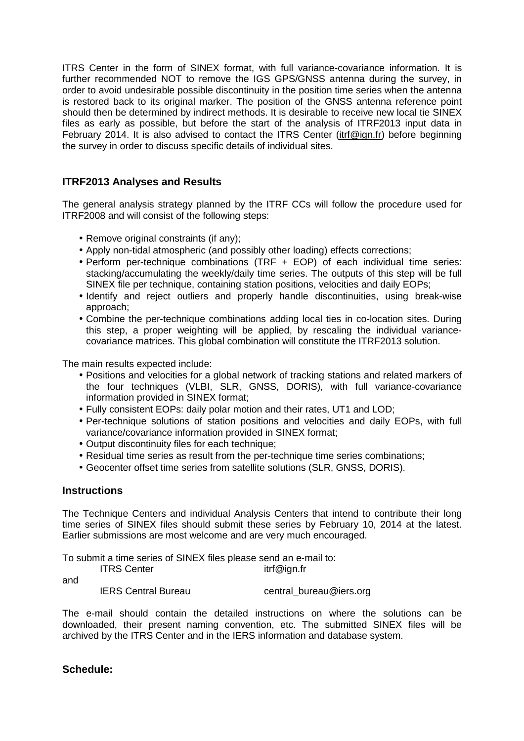ITRS Center in the form of SINEX format, with full variance-covariance information. It is further recommended NOT to remove the IGS GPS/GNSS antenna during the survey, in order to avoid undesirable possible discontinuity in the position time series when the antenna is restored back to its original marker. The position of the GNSS antenna reference point should then be determined by indirect methods. It is desirable to receive new local tie SINEX files as early as possible, but before the start of the analysis of ITRF2013 input data in February 2014. It is also advised to contact the ITRS Center (itrf@ign.fr) before beginning the survey in order to discuss specific details of individual sites.

## **ITRF2013 Analyses and Results**

The general analysis strategy planned by the ITRF CCs will follow the procedure used for ITRF2008 and will consist of the following steps:

- Remove original constraints (if any);
- Apply non-tidal atmospheric (and possibly other loading) effects corrections;
- Perform per-technique combinations (TRF + EOP) of each individual time series: stacking/accumulating the weekly/daily time series. The outputs of this step will be full SINEX file per technique, containing station positions, velocities and daily EOPs;
- Identify and reject outliers and properly handle discontinuities, using break-wise approach;
- Combine the per-technique combinations adding local ties in co-location sites. During this step, a proper weighting will be applied, by rescaling the individual variancecovariance matrices. This global combination will constitute the ITRF2013 solution.

The main results expected include:

- Positions and velocities for a global network of tracking stations and related markers of the four techniques (VLBI, SLR, GNSS, DORIS), with full variance-covariance information provided in SINEX format;
- Fully consistent EOPs: daily polar motion and their rates, UT1 and LOD;
- Per-technique solutions of station positions and velocities and daily EOPs, with full variance/covariance information provided in SINEX format;
- Output discontinuity files for each technique;
- Residual time series as result from the per-technique time series combinations;
- Geocenter offset time series from satellite solutions (SLR, GNSS, DORIS).

#### **Instructions**

The Technique Centers and individual Analysis Centers that intend to contribute their long time series of SINEX files should submit these series by February 10, 2014 at the latest. Earlier submissions are most welcome and are very much encouraged.

To submit a time series of SINEX files please send an e-mail to:

| <b>ITRS Center</b><br>itrf@ign.fr |
|-----------------------------------|
|-----------------------------------|

and

IERS Central Bureau Central\_bureau@iers.org

The e-mail should contain the detailed instructions on where the solutions can be downloaded, their present naming convention, etc. The submitted SINEX files will be archived by the ITRS Center and in the IERS information and database system.

**Schedule:**